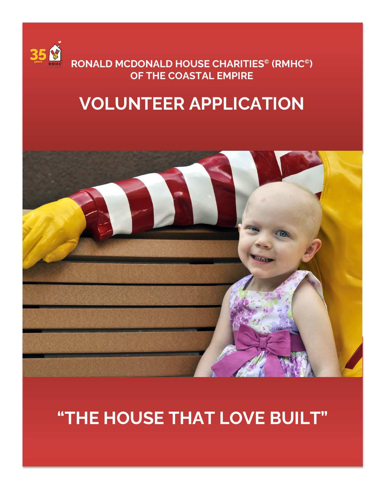

**RONALD MCDONALD HOUSE CHARITIES© (RMHC©) OF THE COASTAL EMPIRE**

## **VOLUNTEER APPLICATION**



# **"THE HOUSE THAT LOVE BUILT"**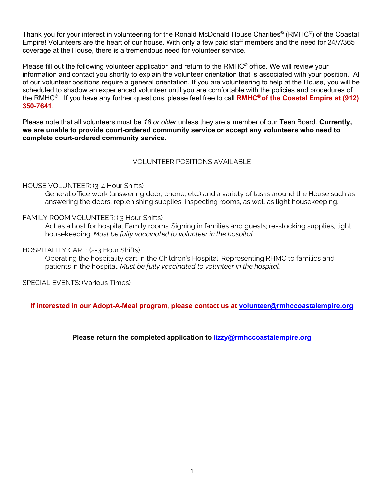Thank you for your interest in volunteering for the Ronald McDonald House Charities<sup>®</sup> (RMHC<sup>®</sup>) of the Coastal Empire! Volunteers are the heart of our house. With only a few paid staff members and the need for 24/7/365 coverage at the House, there is a tremendous need for volunteer service.

Please fill out the following volunteer application and return to the RMHC<sup>®</sup> office. We will review your information and contact you shortly to explain the volunteer orientation that is associated with your position. All of our volunteer positions require a general orientation. If you are volunteering to help at the House, you will be scheduled to shadow an experienced volunteer until you are comfortable with the policies and procedures of the RMHC©. If you have any further questions, please feel free to call **RMHC© of the Coastal Empire at (912) 350-7641**.

Please note that all volunteers must be *18 or older* unless they are a member of our Teen Board. **Currently, we are unable to provide court-ordered community service or accept any volunteers who need to complete court-ordered community service.**

#### VOLUNTEER POSITIONS AVAILABLE

#### HOUSE VOLUNTEER: (3-4 Hour Shifts)

General office work (answering door, phone, etc.) and a variety of tasks around the House such as answering the doors, replenishing supplies, inspecting rooms, as well as light housekeeping.

#### FAMILY ROOM VOLUNTEER: ( 3 Hour Shifts)

Act as a host for hospital Family rooms. Signing in families and guests; re-stocking supplies, light housekeeping. *Must be fully vaccinated to volunteer in the hospital.*

#### HOSPITALITY CART: (2-3 Hour Shifts)

Operating the hospitality cart in the Children's Hospital. Representing RHMC to families and patients in the hospital. *Must be fully vaccinated to volunteer in the hospital.*

SPECIAL EVENTS: (Various Times)

**If interested in our Adopt-A-Meal program, please contact us at [volunteer@rmhccoastalempire.org](mailto:volunteer@rmhccoastalempire.org)**

**Please return the completed application to [lizzy@rmhccoastalempire.org](mailto:lizzy@rmhccoastalempire.org)**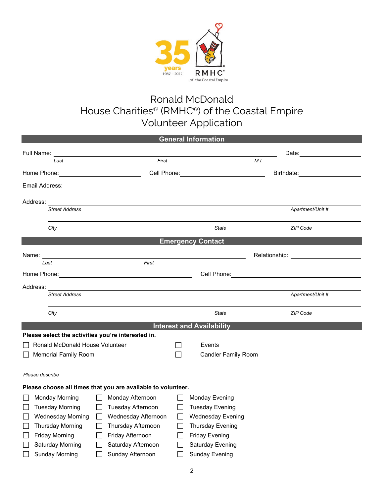

### Ronald McDonald House Charities<sup>®</sup> (RMHC<sup>®</sup>) of the Coastal Empire Volunteer Application

| <b>General Information</b>                         |                                               |                                              |                                                                                                                                                                                                                                |  |  |  |
|----------------------------------------------------|-----------------------------------------------|----------------------------------------------|--------------------------------------------------------------------------------------------------------------------------------------------------------------------------------------------------------------------------------|--|--|--|
| Full Name: <u>_______________________</u>          |                                               |                                              | Date: the contract of the contract of the contract of the contract of the contract of the contract of the contract of the contract of the contract of the contract of the contract of the contract of the contract of the cont |  |  |  |
| Last                                               | First                                         |                                              | M.I.                                                                                                                                                                                                                           |  |  |  |
|                                                    |                                               | Cell Phone: ________________________________ | Birthdate: <b>Example 2019</b>                                                                                                                                                                                                 |  |  |  |
|                                                    |                                               |                                              |                                                                                                                                                                                                                                |  |  |  |
| Address:                                           | <u> 1989 - Andrea Andrew Maria (h. 1989).</u> |                                              |                                                                                                                                                                                                                                |  |  |  |
| <b>Street Address</b>                              |                                               |                                              | Apartment/Unit #                                                                                                                                                                                                               |  |  |  |
| City                                               |                                               | <b>State</b>                                 | ZIP Code                                                                                                                                                                                                                       |  |  |  |
|                                                    | <b>Emergency Contact</b>                      |                                              |                                                                                                                                                                                                                                |  |  |  |
| Name: <u>_________________________</u>             |                                               |                                              | Relationship: The contract of the contract of the contract of the contract of the contract of the contract of the contract of the contract of the contract of the contract of the contract of the contract of the contract of  |  |  |  |
| Last                                               | First                                         |                                              |                                                                                                                                                                                                                                |  |  |  |
|                                                    |                                               |                                              |                                                                                                                                                                                                                                |  |  |  |
| Address:                                           |                                               |                                              |                                                                                                                                                                                                                                |  |  |  |
| <b>Street Address</b>                              |                                               |                                              | Apartment/Unit #                                                                                                                                                                                                               |  |  |  |
| City                                               |                                               | <b>State</b>                                 | <b>ZIP Code</b>                                                                                                                                                                                                                |  |  |  |
|                                                    | <b>Interest and Availability</b>              |                                              |                                                                                                                                                                                                                                |  |  |  |
| Please select the activities you're interested in. |                                               |                                              |                                                                                                                                                                                                                                |  |  |  |
| Ronald McDonald House Volunteer                    |                                               | Events                                       |                                                                                                                                                                                                                                |  |  |  |
| <b>Memorial Family Room</b>                        |                                               | <b>Candler Family Room</b>                   |                                                                                                                                                                                                                                |  |  |  |
|                                                    |                                               |                                              |                                                                                                                                                                                                                                |  |  |  |

#### *Please describe*

| Please choose all times that you are available to volunteer. |                          |  |                          |  |                          |
|--------------------------------------------------------------|--------------------------|--|--------------------------|--|--------------------------|
|                                                              | <b>Monday Morning</b>    |  | Monday Afternoon         |  | Monday Evening           |
|                                                              | <b>Tuesday Morning</b>   |  | <b>Tuesday Afternoon</b> |  | <b>Tuesday Evening</b>   |
|                                                              | <b>Wednesday Morning</b> |  | Wednesday Afternoon      |  | <b>Wednesday Evening</b> |
|                                                              | <b>Thursday Morning</b>  |  | Thursday Afternoon       |  | <b>Thursday Evening</b>  |
|                                                              | <b>Friday Morning</b>    |  | Friday Afternoon         |  | <b>Friday Evening</b>    |
|                                                              | Saturday Morning         |  | Saturday Afternoon       |  | <b>Saturday Evening</b>  |
|                                                              | <b>Sunday Morning</b>    |  | Sunday Afternoon         |  | <b>Sunday Evening</b>    |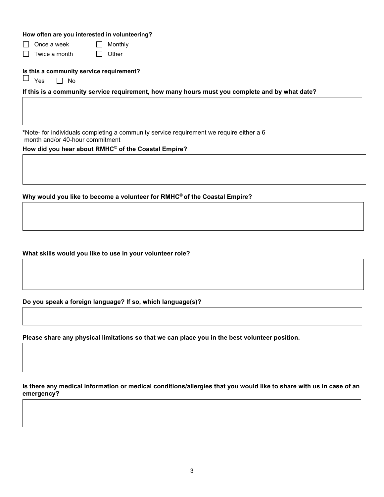#### **How often are you interested in volunteering?**

 $\Box$  Once a week  $\Box$  Monthly

 $\Box$  Twice a month  $\Box$  Other

**Is this a community service requirement?**<br> $\Box$   $\lor$   $\alpha$   $\Box$   $\Box$   $\land$   $\land$ 

 $\Box$  No

**If this is a community service requirement, how many hours must you complete and by what date?**

**\***Note- for individuals completing a community service requirement we require either a 6 month and/or 40-hour commitment

**How did you hear about RMHC© of the Coastal Empire?**

**Why would you like to become a volunteer for RMHC© of the Coastal Empire?**

**What skills would you like to use in your volunteer role?**

**Do you speak a foreign language? If so, which language(s)?**

**Please share any physical limitations so that we can place you in the best volunteer position.**

**Is there any medical information or medical conditions/allergies that you would like to share with us in case of an emergency?**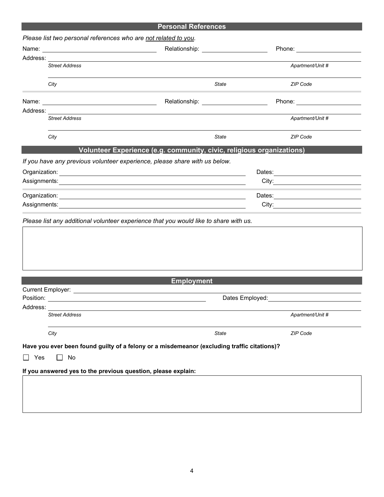|           |                       | <b>Personal References</b>                                                                                                          |                  |  |
|-----------|-----------------------|-------------------------------------------------------------------------------------------------------------------------------------|------------------|--|
|           |                       | Please list two personal references who are not related to you.                                                                     |                  |  |
|           |                       | Relationship: _____________________                                                                                                 |                  |  |
|           |                       |                                                                                                                                     |                  |  |
|           | <b>Street Address</b> |                                                                                                                                     | Apartment/Unit # |  |
|           |                       |                                                                                                                                     |                  |  |
|           | City                  | State                                                                                                                               | ZIP Code         |  |
|           |                       | Relationship: _____________________                                                                                                 |                  |  |
|           |                       |                                                                                                                                     |                  |  |
|           | <b>Street Address</b> |                                                                                                                                     | Apartment/Unit # |  |
|           | City                  | State                                                                                                                               | <b>ZIP Code</b>  |  |
|           |                       | Volunteer Experience (e.g. community, civic, religious organizations)                                                               |                  |  |
|           |                       | If you have any previous volunteer experience, please share with us below.                                                          |                  |  |
|           |                       |                                                                                                                                     |                  |  |
|           |                       |                                                                                                                                     |                  |  |
|           |                       |                                                                                                                                     |                  |  |
|           |                       |                                                                                                                                     |                  |  |
|           |                       |                                                                                                                                     |                  |  |
|           |                       |                                                                                                                                     |                  |  |
|           |                       | <b>Employment</b><br>Current Employer: Example 2014 and 2014 and 2014 and 2014 and 2014 and 2014 and 2014 and 2014 and 2014 and 201 |                  |  |
| Position: |                       | Dates Employed:                                                                                                                     |                  |  |
| Address:  |                       |                                                                                                                                     |                  |  |
|           | <b>Street Address</b> |                                                                                                                                     | Apartment/Unit # |  |
|           | City                  | State                                                                                                                               | <b>ZIP Code</b>  |  |
|           |                       | Have you ever been found guilty of a felony or a misdemeanor (excluding traffic citations)?                                         |                  |  |
| Yes       | No<br>$\mathsf{L}$    |                                                                                                                                     |                  |  |
|           |                       | If you answered yes to the previous question, please explain:                                                                       |                  |  |
|           |                       |                                                                                                                                     |                  |  |
|           |                       |                                                                                                                                     |                  |  |
|           |                       |                                                                                                                                     |                  |  |
|           |                       |                                                                                                                                     |                  |  |